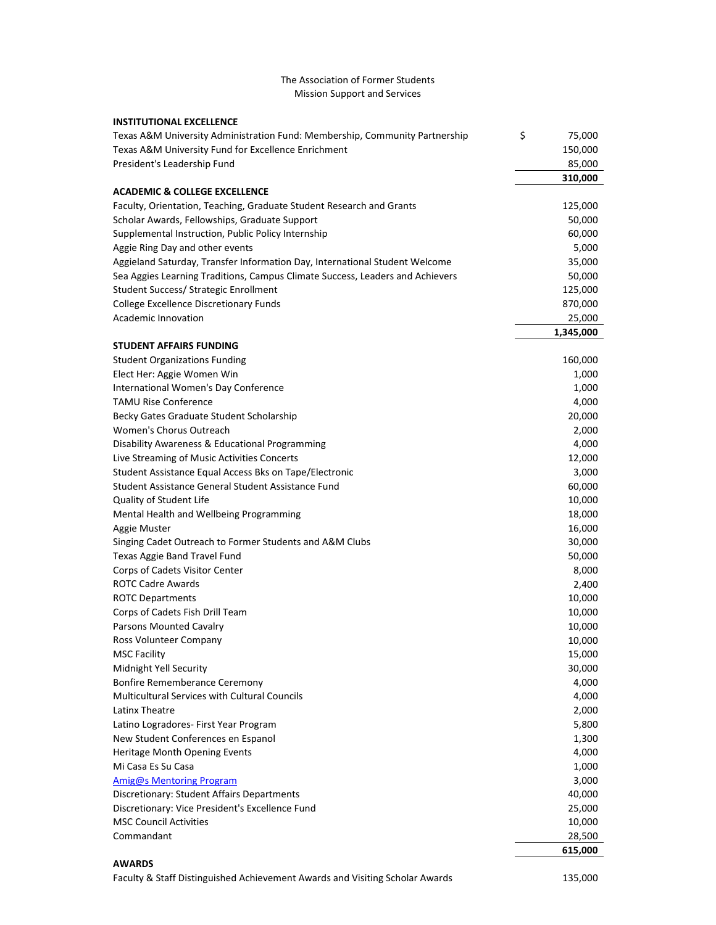## The Association of Former Students Mission Support and Services

| <b>INSTITUTIONAL EXCELLENCE</b>                                               |              |
|-------------------------------------------------------------------------------|--------------|
| Texas A&M University Administration Fund: Membership, Community Partnership   | \$<br>75,000 |
| Texas A&M University Fund for Excellence Enrichment                           | 150,000      |
| President's Leadership Fund                                                   | 85,000       |
|                                                                               | 310,000      |
| <b>ACADEMIC &amp; COLLEGE EXCELLENCE</b>                                      |              |
| Faculty, Orientation, Teaching, Graduate Student Research and Grants          | 125,000      |
| Scholar Awards, Fellowships, Graduate Support                                 | 50,000       |
| Supplemental Instruction, Public Policy Internship                            | 60,000       |
| Aggie Ring Day and other events                                               | 5,000        |
| Aggieland Saturday, Transfer Information Day, International Student Welcome   | 35,000       |
| Sea Aggies Learning Traditions, Campus Climate Success, Leaders and Achievers | 50,000       |
| <b>Student Success/ Strategic Enrollment</b>                                  | 125,000      |
| College Excellence Discretionary Funds                                        | 870,000      |
| Academic Innovation                                                           | 25,000       |
|                                                                               | 1,345,000    |
| <b>STUDENT AFFAIRS FUNDING</b>                                                |              |
| <b>Student Organizations Funding</b>                                          | 160,000      |
| Elect Her: Aggie Women Win                                                    | 1,000        |
| International Women's Day Conference                                          | 1,000        |
| <b>TAMU Rise Conference</b>                                                   | 4,000        |
| Becky Gates Graduate Student Scholarship                                      | 20,000       |
| Women's Chorus Outreach                                                       | 2,000        |
| Disability Awareness & Educational Programming                                | 4,000        |
| Live Streaming of Music Activities Concerts                                   | 12,000       |
| Student Assistance Equal Access Bks on Tape/Electronic                        | 3,000        |
| Student Assistance General Student Assistance Fund                            | 60,000       |
| Quality of Student Life                                                       | 10,000       |
| Mental Health and Wellbeing Programming                                       | 18,000       |
| Aggie Muster                                                                  | 16,000       |
| Singing Cadet Outreach to Former Students and A&M Clubs                       | 30,000       |
| Texas Aggie Band Travel Fund                                                  | 50,000       |
| Corps of Cadets Visitor Center                                                | 8,000        |
| <b>ROTC Cadre Awards</b>                                                      | 2,400        |
| <b>ROTC Departments</b>                                                       | 10,000       |
| Corps of Cadets Fish Drill Team                                               | 10,000       |
| <b>Parsons Mounted Cavalry</b>                                                | 10,000       |
| Ross Volunteer Company                                                        | 10,000       |
| <b>MSC Facility</b>                                                           | 15,000       |
| Midnight Yell Security                                                        | 30,000       |
| <b>Bonfire Rememberance Ceremony</b>                                          | 4,000        |
| <b>Multicultural Services with Cultural Councils</b>                          | 4,000        |
| Latinx Theatre                                                                | 2,000        |
| Latino Logradores- First Year Program                                         | 5,800        |
| New Student Conferences en Espanol                                            | 1,300        |
| Heritage Month Opening Events                                                 | 4,000        |
| Mi Casa Es Su Casa                                                            | 1,000        |
| <b>Amig@s Mentoring Program</b>                                               | 3,000        |
| Discretionary: Student Affairs Departments                                    | 40,000       |
| Discretionary: Vice President's Excellence Fund                               | 25,000       |
| <b>MSC Council Activities</b>                                                 | 10,000       |
| Commandant                                                                    | 28,500       |
|                                                                               | 615,000      |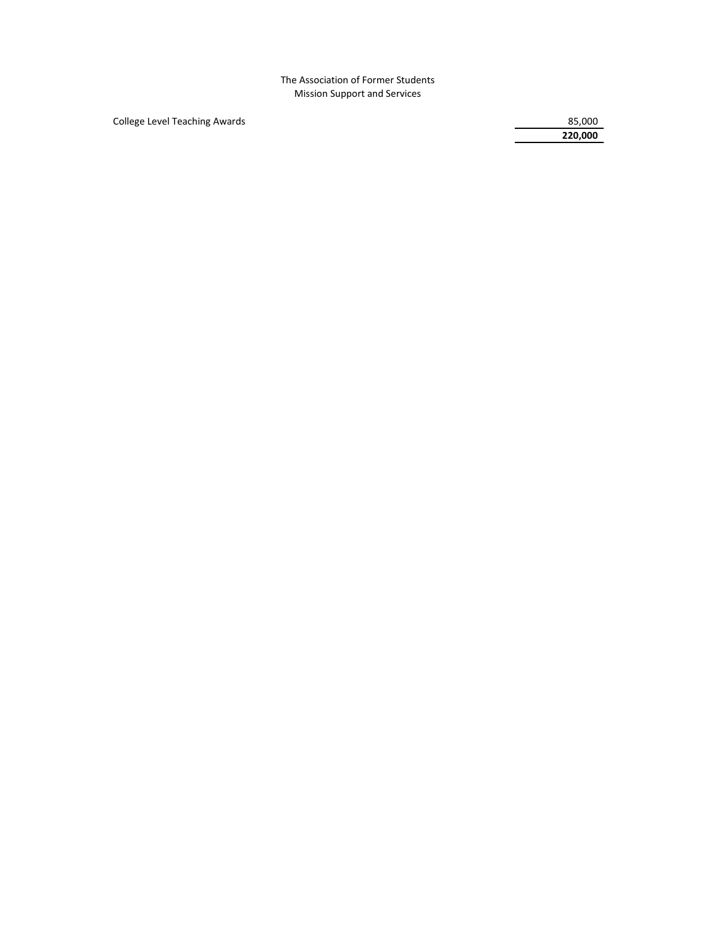The Association of Former Students Mission Support and Services

College Level Teaching Awards 85,000

 **220,000**